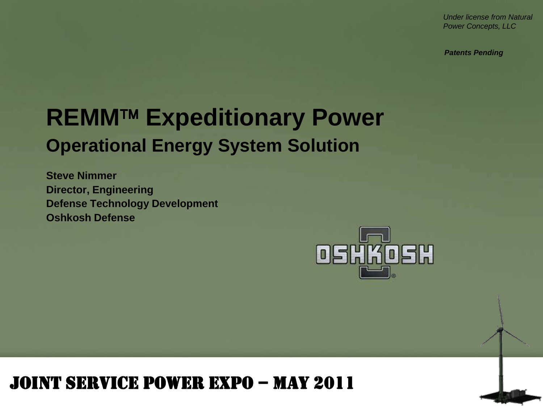*Under license from Natural Power Concepts, LLC*

*Patents Pending*

## **REMM™ Expeditionary Power Operational Energy System Solution**

**Steve Nimmer Director, Engineering Defense Technology Development Oshkosh Defense**



#### Joint Service Power Expo – May 2011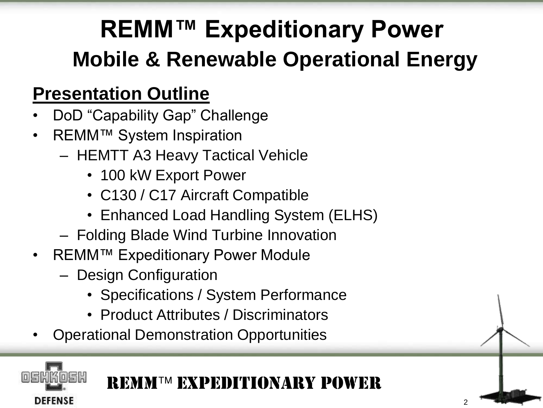# **REMM™ Expeditionary Power Mobile & Renewable Operational Energy**

#### **Presentation Outline**

- DoD "Capability Gap" Challenge
- REMM™ System Inspiration
	- HEMTT A3 Heavy Tactical Vehicle
		- 100 kW Export Power
		- C130 / C17 Aircraft Compatible
		- Enhanced Load Handling System (ELHS)
	- Folding Blade Wind Turbine Innovation
- REMM™ Expeditionary Power Module
	- Design Configuration

**DEFENSE** 

- Specifications / System Performance
- Product Attributes / Discriminators
- Operational Demonstration Opportunities

REMMTM EXPEDITIONARY POWER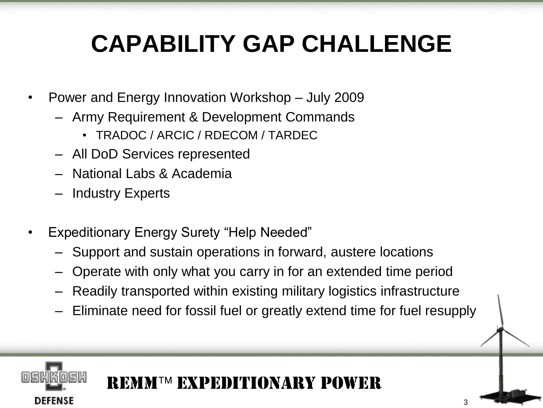## **CAPABILITY GAP CHALLENGE**

- Power and Energy Innovation Workshop July 2009
	- Army Requirement & Development Commands
		- TRADOC / ARCIC / RDECOM / TARDEC
	- All DoD Services represented
	- National Labs & Academia
	- Industry Experts

**DEFENSE** 

- Expeditionary Energy Surety "Help Needed"
	- Support and sustain operations in forward, austere locations
	- Operate with only what you carry in for an extended time period
	- Readily transported within existing military logistics infrastructure
	- Eliminate need for fossil fuel or greatly extend time for fuel resupply

3

## REMM Expeditionary Power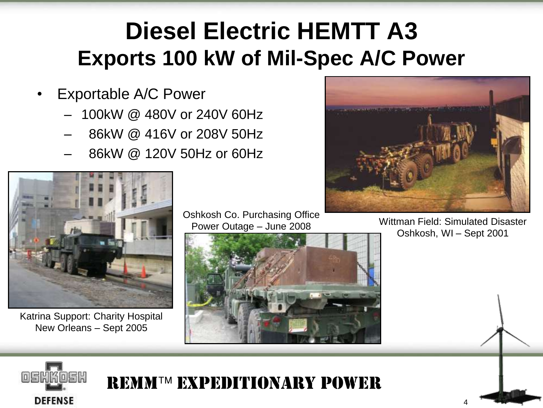## **Diesel Electric HEMTT A3 Exports 100 kW of Mil-Spec A/C Power**

- Exportable A/C Power
	- 100kW @ 480V or 240V 60Hz
	- 86kW @ 416V or 208V 50Hz
	- 86kW @ 120V 50Hz or 60Hz



Katrina Support: Charity Hospital New Orleans – Sept 2005

Oshkosh Co. Purchasing Office Power Outage – June 2008





Wittman Field: Simulated Disaster Oshkosh, WI – Sept 2001



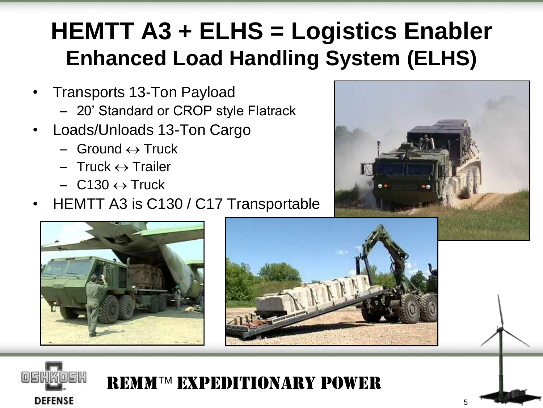## **HEMTT A3 + ELHS = Logistics Enabler Enhanced Load Handling System (ELHS)**

- Transports 13-Ton Payload
	- 20' Standard or CROP style Flatrack
- Loads/Unloads 13-Ton Cargo
	- $-$  Ground  $\leftrightarrow$  Truck
	- $-$  Truck  $\leftrightarrow$  Trailer
	- $-$  C130  $\leftrightarrow$  Truck
- HEMTT A3 is C130 / C17 Transportable











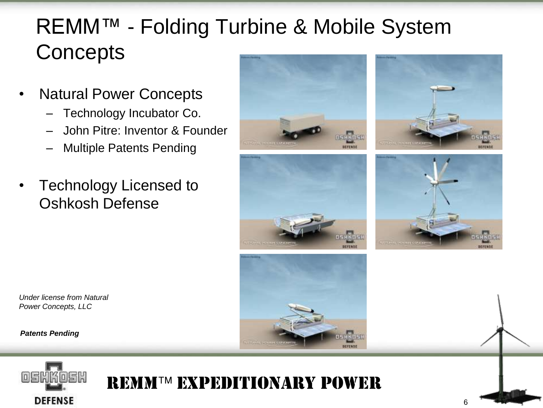### REMM™ - Folding Turbine & Mobile System **Concepts**

- Natural Power Concepts
	- Technology Incubator Co.
	- John Pitre: Inventor & Founder
	- Multiple Patents Pending
- Technology Licensed to Oshkosh Defense











*Under license from Natural Power Concepts, LLC*

*Patents Pending*



#### REMMTM EXPEDITIONARY POWER

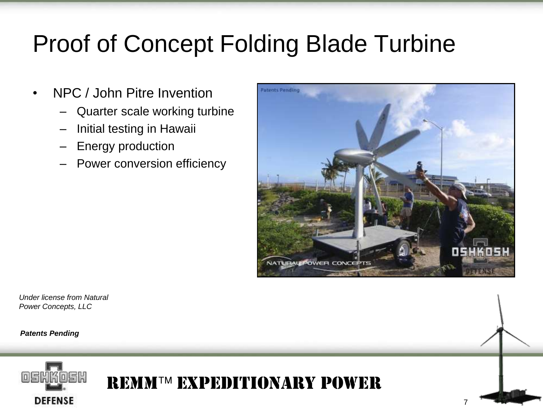## Proof of Concept Folding Blade Turbine

- NPC / John Pitre Invention
	- Quarter scale working turbine
	- Initial testing in Hawaii
	- Energy production
	- Power conversion efficiency



*Under license from Natural Power Concepts, LLC*

*Patents Pending*



REMMTM EXPEDITIONARY POWER

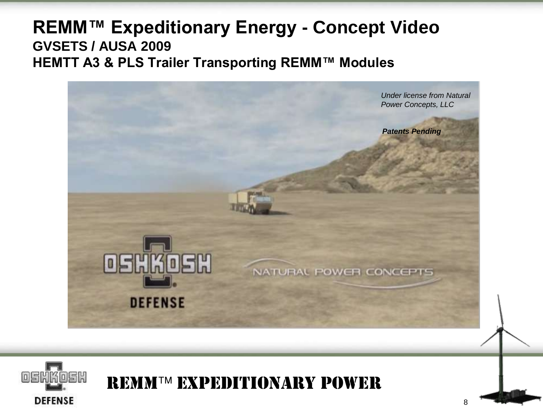#### **REMM™ Expeditionary Energy - Concept Video GVSETS / AUSA 2009 HEMTT A3 & PLS Trailer Transporting REMM™ Modules**



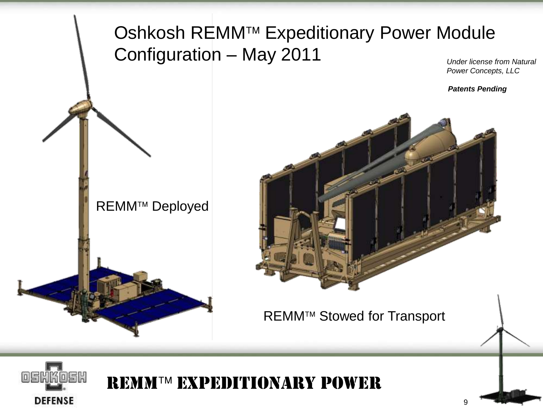#### Oshkosh REMM™ Expeditionary Power Module Configuration – May 2011 *Under license from Natural*

*Power Concepts, LLC*

*Patents Pending*

9



**REMM™ Deployed** 





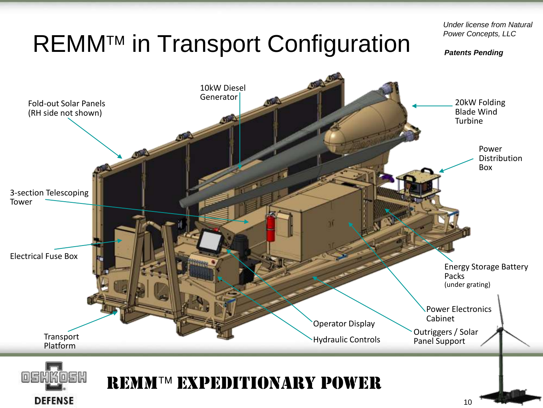# REMM™ in Transport Configuration

*Under license from Natural Power Concepts, LLC*

*Patents Pending*

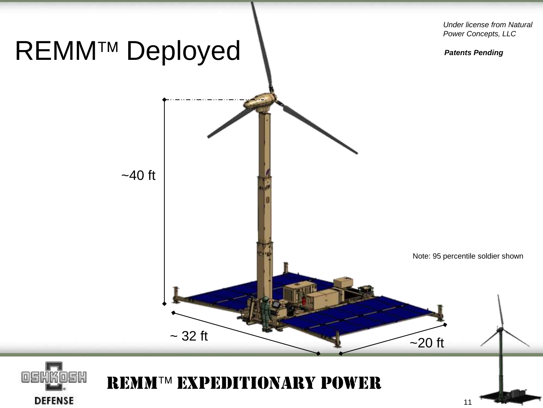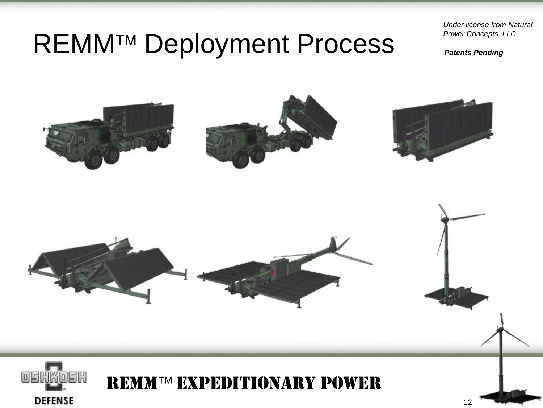## REMM<sup>™</sup> Deployment Process

*Under license from Natural Power Concepts, LLC*

*Patents Pending*

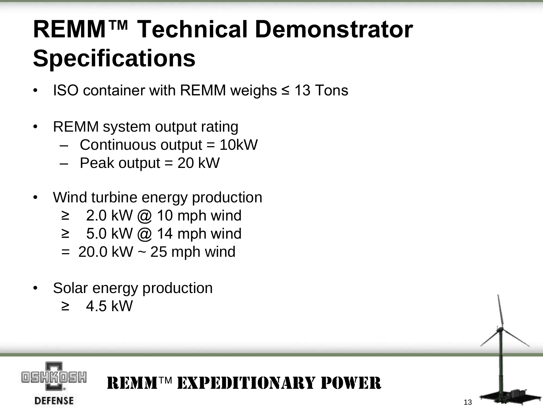# **REMM™ Technical Demonstrator Specifications**

- $ISO$  container with REMM weighs  $\leq$  13 Tons
- REMM system output rating
	- $-$  Continuous output  $=$  10kW
	- $-$  Peak output = 20 kW
- Wind turbine energy production
	- $≥$  2.0 kW @ 10 mph wind
	- $≥ 5.0$  kW @ 14 mph wind
	- $= 20.0$  kW  $\sim 25$  mph wind
- Solar energy production
	- $\geq 4.5$  kW

**DEFENSE** 



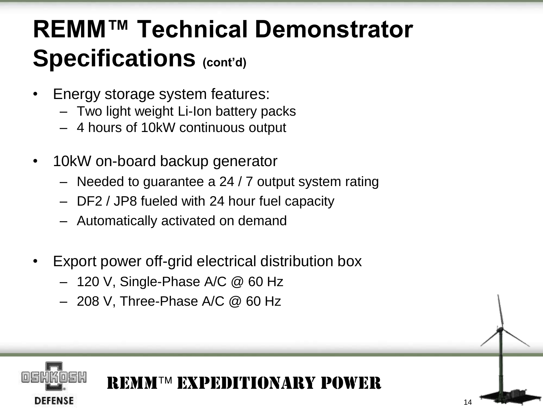## **REMM™ Technical Demonstrator Specifications (cont'd)**

- Energy storage system features:
	- Two light weight Li-Ion battery packs
	- 4 hours of 10kW continuous output
- 10kW on-board backup generator
	- Needed to guarantee a 24 / 7 output system rating

REMMTM EXPEDITIONARY POWER

14

- DF2 / JP8 fueled with 24 hour fuel capacity
- Automatically activated on demand
- Export power off-grid electrical distribution box
	- 120 V, Single-Phase A/C @ 60 Hz
	- 208 V, Three-Phase A/C @ 60 Hz

**DEFENSE**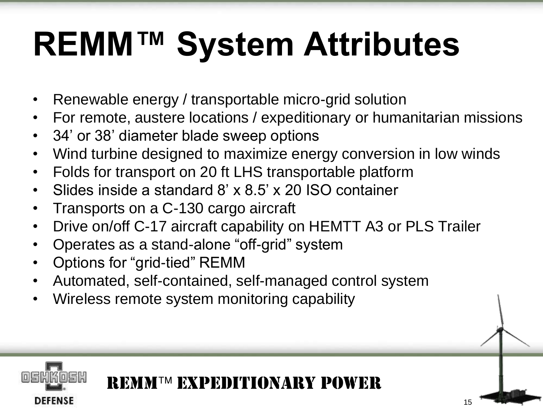# **REMM™ System Attributes**

- Renewable energy / transportable micro-grid solution
- For remote, austere locations / expeditionary or humanitarian missions
- 34' or 38' diameter blade sweep options
- Wind turbine designed to maximize energy conversion in low winds
- Folds for transport on 20 ft LHS transportable platform
- Slides inside a standard 8' x 8.5' x 20 ISO container
- Transports on a C-130 cargo aircraft
- Drive on/off C-17 aircraft capability on HEMTT A3 or PLS Trailer
- Operates as a stand-alone "off-grid" system
- Options for "grid-tied" REMM

DEFENSE

• Automated, self-contained, self-managed control system

REMMTM EXPEDITIONARY POWER

15

• Wireless remote system monitoring capability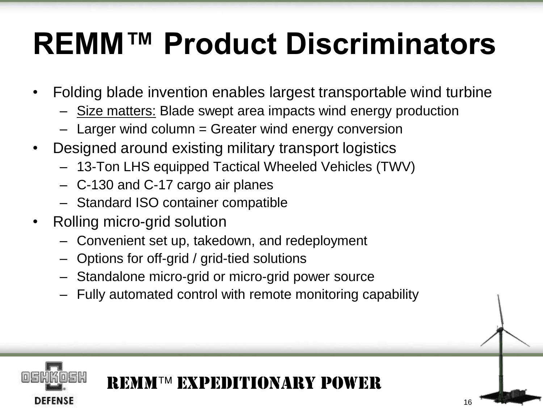# **REMM™ Product Discriminators**

- Folding blade invention enables largest transportable wind turbine
	- Size matters: Blade swept area impacts wind energy production
	- Larger wind column = Greater wind energy conversion
- Designed around existing military transport logistics
	- 13-Ton LHS equipped Tactical Wheeled Vehicles (TWV)
	- C-130 and C-17 cargo air planes
	- Standard ISO container compatible
- Rolling micro-grid solution

DEFENSE

- Convenient set up, takedown, and redeployment
- Options for off-grid / grid-tied solutions
- Standalone micro-grid or micro-grid power source
- Fully automated control with remote monitoring capability

# REMMTM EXPEDITIONARY POWER